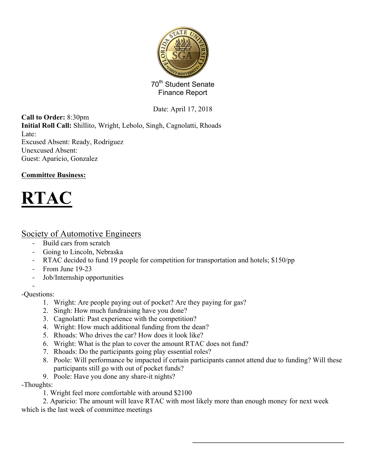

70<sup>th</sup> Student Senate Finance Report

Date: April 17, 2018

**Call to Order:** 8:30pm **Initial Roll Call:** Shillito, Wright, Lebolo, Singh, Cagnolatti, Rhoads Late: Excused Absent: Ready, Rodriguez Unexcused Absent: Guest: Aparicio, Gonzalez

### **Committee Business:**



## Society of Automotive Engineers

- Build cars from scratch
- Going to Lincoln, Nebraska
- RTAC decided to fund 19 people for competition for transportation and hotels; \$150/pp
- From June 19-23
- Job/Internship opportunities

- -Questions:

- 1. Wright: Are people paying out of pocket? Are they paying for gas?
- 2. Singh: How much fundraising have you done?
- 3. Cagnolatti: Past experience with the competition?
- 4. Wright: How much additional funding from the dean?
- 5. Rhoads: Who drives the car? How does it look like?
- 6. Wright: What is the plan to cover the amount RTAC does not fund?
- 7. Rhoads: Do the participants going play essential roles?
- 8. Poole: Will performance be impacted if certain participants cannot attend due to funding? Will these participants still go with out of pocket funds?

 $\mathcal{L}_\text{max}$  , and the set of the set of the set of the set of the set of the set of the set of the set of the set of the set of the set of the set of the set of the set of the set of the set of the set of the set of the

9. Poole: Have you done any share-it nights?

-Thoughts:

1. Wright feel more comfortable with around \$2100

2. Aparicio: The amount will leave RTAC with most likely more than enough money for next week which is the last week of committee meetings